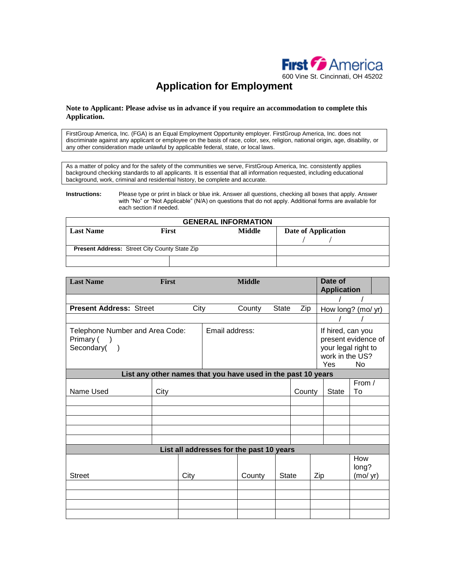

# **Application for Employment**

#### **Note to Applicant: Please advise us in advance if you require an accommodation to complete this Application.**

FirstGroup America, Inc. (FGA) is an Equal Employment Opportunity employer. FirstGroup America, Inc. does not discriminate against any applicant or employee on the basis of race, color, sex, religion, national origin, age, disability, or any other consideration made unlawful by applicable federal, state, or local laws.

As a matter of policy and for the safety of the communities we serve, FirstGroup America, Inc. consistently applies background checking standards to all applicants. It is essential that all information requested, including educational background, work, criminal and residential history, be complete and accurate.

**Instructions:** Please type or print in black or blue ink. Answer all questions, checking all boxes that apply. Answer with "No" or "Not Applicable" (N/A) on questions that do not apply. Additional forms are available for each section if needed.

| <b>GENERAL INFORMATION</b>                           |              |  |        |  |                     |  |  |
|------------------------------------------------------|--------------|--|--------|--|---------------------|--|--|
| <b>Last Name</b>                                     | <b>First</b> |  | Middle |  | Date of Application |  |  |
|                                                      |              |  |        |  |                     |  |  |
| <b>Present Address: Street City County State Zip</b> |              |  |        |  |                     |  |  |
|                                                      |              |  |        |  |                     |  |  |

| <b>Last Name</b>                                                             | First                                                        |      |                | <b>Middle</b>                            |              |        |     | Date of<br><b>Application</b>                                                             |                          |  |
|------------------------------------------------------------------------------|--------------------------------------------------------------|------|----------------|------------------------------------------|--------------|--------|-----|-------------------------------------------------------------------------------------------|--------------------------|--|
|                                                                              |                                                              |      |                |                                          |              |        |     |                                                                                           |                          |  |
| <b>Present Address: Street</b><br>City                                       |                                                              |      |                | County                                   | <b>State</b> | Zip    |     | How long? (mo/ yr)                                                                        |                          |  |
|                                                                              |                                                              |      |                |                                          |              |        |     |                                                                                           |                          |  |
| Telephone Number and Area Code:<br>Primary (<br>$\rightarrow$<br>Secondary() |                                                              |      | Email address: |                                          |              |        |     | If hired, can you<br>present evidence of<br>your legal right to<br>work in the US?<br>Yes | <b>No</b>                |  |
|                                                                              | List any other names that you have used in the past 10 years |      |                |                                          |              |        |     |                                                                                           |                          |  |
| Name Used                                                                    | City                                                         |      |                |                                          |              | County |     | <b>State</b>                                                                              | From /<br>To             |  |
|                                                                              |                                                              |      |                |                                          |              |        |     |                                                                                           |                          |  |
|                                                                              |                                                              |      |                |                                          |              |        |     |                                                                                           |                          |  |
|                                                                              |                                                              |      |                |                                          |              |        |     |                                                                                           |                          |  |
|                                                                              |                                                              |      |                |                                          |              |        |     |                                                                                           |                          |  |
|                                                                              |                                                              |      |                |                                          |              |        |     |                                                                                           |                          |  |
|                                                                              |                                                              |      |                | List all addresses for the past 10 years |              |        |     |                                                                                           |                          |  |
| <b>Street</b>                                                                |                                                              | City |                | County                                   | <b>State</b> |        | Zip |                                                                                           | How<br>long?<br>(mod yr) |  |
|                                                                              |                                                              |      |                |                                          |              |        |     |                                                                                           |                          |  |
|                                                                              |                                                              |      |                |                                          |              |        |     |                                                                                           |                          |  |
|                                                                              |                                                              |      |                |                                          |              |        |     |                                                                                           |                          |  |
|                                                                              |                                                              |      |                |                                          |              |        |     |                                                                                           |                          |  |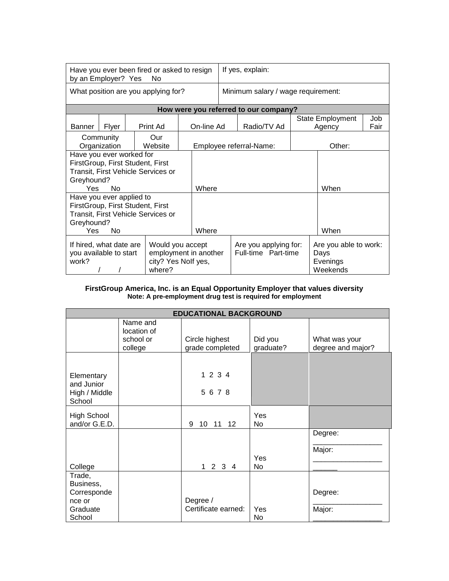| Have you ever been fired or asked to resign<br>by an Employer? Yes<br>No.                                                                |       |  | If yes, explain:        |                                              |        |                                                       |      |                                   |             |
|------------------------------------------------------------------------------------------------------------------------------------------|-------|--|-------------------------|----------------------------------------------|--------|-------------------------------------------------------|------|-----------------------------------|-------------|
| What position are you applying for?                                                                                                      |       |  |                         | Minimum salary / wage requirement:           |        |                                                       |      |                                   |             |
|                                                                                                                                          |       |  |                         |                                              |        | How were you referred to our company?                 |      |                                   |             |
| Banner                                                                                                                                   | Flyer |  | Print Ad                | On-line Ad                                   |        | Radio/TV Ad                                           |      | <b>State Employment</b><br>Agency | Job<br>Fair |
| Community<br>Our<br>Organization<br>Website                                                                                              |       |  | Employee referral-Name: |                                              | Other: |                                                       |      |                                   |             |
| Have you ever worked for<br>FirstGroup, First Student, First<br>Transit, First Vehicle Services or<br>Greyhound?<br>Yes.<br>Nο           |       |  | Where                   |                                              |        |                                                       | When |                                   |             |
| Have you ever applied to<br>FirstGroup, First Student, First<br>Transit, First Vehicle Services or<br>Greyhound?<br>Yes<br>No.           |       |  | Where                   |                                              |        |                                                       | When |                                   |             |
| If hired, what date are<br>Would you accept<br>employment in another<br>you available to start<br>city? Yes Nolf yes,<br>work?<br>where? |       |  |                         | Are you applying for:<br>Full-time Part-time |        | Are you able to work:<br>Days<br>Evenings<br>Weekends |      |                                   |             |

### **FirstGroup America, Inc. is an Equal Opportunity Employer that values diversity Note: A pre-employment drug test is required for employment**

| <b>EDUCATIONAL BACKGROUND</b>                                      |                                                 |                                   |                      |                                    |  |  |  |
|--------------------------------------------------------------------|-------------------------------------------------|-----------------------------------|----------------------|------------------------------------|--|--|--|
|                                                                    | Name and<br>location of<br>school or<br>college | Circle highest<br>grade completed | Did you<br>graduate? | What was your<br>degree and major? |  |  |  |
| Elementary<br>and Junior<br>High / Middle<br>School                |                                                 | 1 2 3 4<br>5678                   |                      |                                    |  |  |  |
| <b>High School</b><br>and/or G.E.D.                                |                                                 | 9<br>10<br>11<br>12 <sup>°</sup>  | Yes<br>No.           |                                    |  |  |  |
| College                                                            |                                                 | 1 2 3 4                           | Yes<br>No.           | Degree:<br>Major:                  |  |  |  |
| Trade,<br>Business,<br>Corresponde<br>nce or<br>Graduate<br>School |                                                 | Degree /<br>Certificate earned:   | Yes<br>No.           | Degree:<br>Major:                  |  |  |  |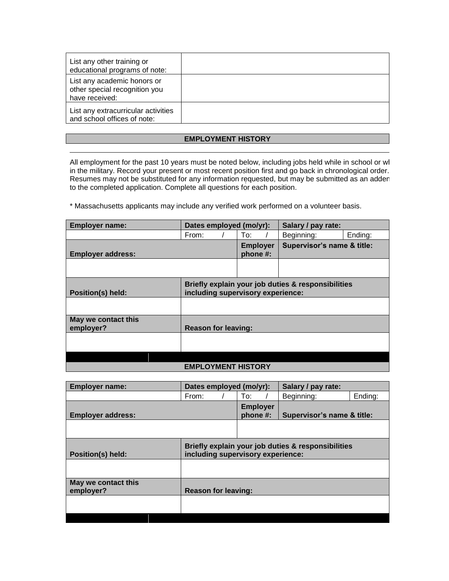| List any other training or<br>educational programs of note:                    |  |
|--------------------------------------------------------------------------------|--|
| List any academic honors or<br>other special recognition you<br>have received: |  |
| List any extracurricular activities<br>and school offices of note:             |  |

## **EMPLOYMENT HISTORY**

All employment for the past 10 years must be noted below, including jobs held while in school or while in the military. Record your present or most recent position first and go back in chronological order. Resumes may not be substituted for any information requested, but may be submitted as an adden to the completed application. Complete all questions for each position.

\* Massachusetts applicants may include any verified work performed on a volunteer basis.

|                          |     | Salary / pay rate:                                                                   |                                                                                                                       |  |  |  |  |
|--------------------------|-----|--------------------------------------------------------------------------------------|-----------------------------------------------------------------------------------------------------------------------|--|--|--|--|
| From:                    | To: | Beginning:                                                                           | Ending:                                                                                                               |  |  |  |  |
| <b>Employer address:</b> |     |                                                                                      |                                                                                                                       |  |  |  |  |
|                          |     |                                                                                      |                                                                                                                       |  |  |  |  |
| Position(s) held:        |     |                                                                                      |                                                                                                                       |  |  |  |  |
|                          |     |                                                                                      |                                                                                                                       |  |  |  |  |
|                          |     |                                                                                      |                                                                                                                       |  |  |  |  |
|                          |     |                                                                                      |                                                                                                                       |  |  |  |  |
|                          |     | Dates employed (mo/yr):<br><b>Employer</b><br>phone #:<br><b>Reason for leaving:</b> | Supervisor's name & title:<br>Briefly explain your job duties & responsibilities<br>including supervisory experience: |  |  |  |  |

## **EMPLOYMENT HISTORY**

| <b>Employer name:</b>            | Dates employed (mo/yr):    |  |                             | Salary / pay rate:                                                                      |                            |         |  |  |
|----------------------------------|----------------------------|--|-----------------------------|-----------------------------------------------------------------------------------------|----------------------------|---------|--|--|
|                                  | From:                      |  | To:                         |                                                                                         | Beginning:                 | Ending: |  |  |
| <b>Employer address:</b>         |                            |  | <b>Employer</b><br>phone #: |                                                                                         | Supervisor's name & title: |         |  |  |
|                                  |                            |  |                             |                                                                                         |                            |         |  |  |
| Position(s) held:                |                            |  |                             | Briefly explain your job duties & responsibilities<br>including supervisory experience: |                            |         |  |  |
|                                  |                            |  |                             |                                                                                         |                            |         |  |  |
| May we contact this<br>employer? | <b>Reason for leaving:</b> |  |                             |                                                                                         |                            |         |  |  |
|                                  |                            |  |                             |                                                                                         |                            |         |  |  |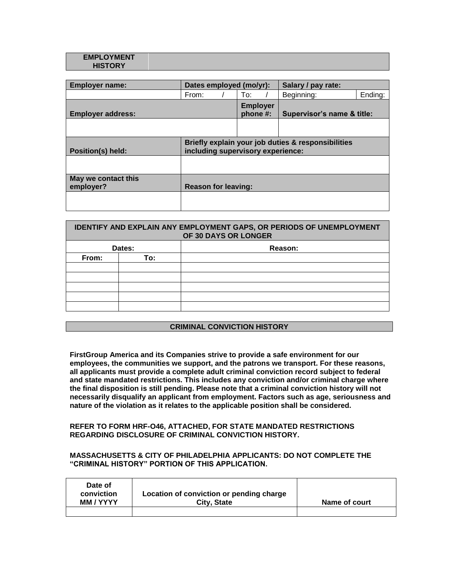#### **EMPLOYMENT HISTORY**

| <b>Employer name:</b>            | Dates employed (mo/yr):    |                             | Salary / pay rate:                                                                      |         |  |  |  |
|----------------------------------|----------------------------|-----------------------------|-----------------------------------------------------------------------------------------|---------|--|--|--|
|                                  | From:                      | To:                         | Beginning:                                                                              | Ending: |  |  |  |
| <b>Employer address:</b>         |                            | <b>Employer</b><br>phone #: | Supervisor's name & title:                                                              |         |  |  |  |
|                                  |                            |                             |                                                                                         |         |  |  |  |
| <b>Position(s) held:</b>         |                            |                             | Briefly explain your job duties & responsibilities<br>including supervisory experience: |         |  |  |  |
|                                  |                            |                             |                                                                                         |         |  |  |  |
| May we contact this<br>employer? | <b>Reason for leaving:</b> |                             |                                                                                         |         |  |  |  |
|                                  |                            |                             |                                                                                         |         |  |  |  |

| <b>IDENTIFY AND EXPLAIN ANY EMPLOYMENT GAPS, OR PERIODS OF UNEMPLOYMENT</b><br>OF 30 DAYS OR LONGER |        |         |  |  |  |  |
|-----------------------------------------------------------------------------------------------------|--------|---------|--|--|--|--|
|                                                                                                     | Dates: | Reason: |  |  |  |  |
| From:                                                                                               | To:    |         |  |  |  |  |
|                                                                                                     |        |         |  |  |  |  |
|                                                                                                     |        |         |  |  |  |  |
|                                                                                                     |        |         |  |  |  |  |
|                                                                                                     |        |         |  |  |  |  |
|                                                                                                     |        |         |  |  |  |  |
|                                                                                                     |        |         |  |  |  |  |

## **CRIMINAL CONVICTION HISTORY**

**FirstGroup America and its Companies strive to provide a safe environment for our employees, the communities we support, and the patrons we transport. For these reasons, all applicants must provide a complete adult criminal conviction record subject to federal and state mandated restrictions. This includes any conviction and/or criminal charge where the final disposition is still pending. Please note that a criminal conviction history will not necessarily disqualify an applicant from employment. Factors such as age, seriousness and nature of the violation as it relates to the applicable position shall be considered.**

### **REFER TO FORM HRF-O46, ATTACHED, FOR STATE MANDATED RESTRICTIONS REGARDING DISCLOSURE OF CRIMINAL CONVICTION HISTORY.**

## **MASSACHUSETTS & CITY OF PHILADELPHIA APPLICANTS: DO NOT COMPLETE THE "CRIMINAL HISTORY" PORTION OF THIS APPLICATION.**

| Date of<br>conviction | Location of conviction or pending charge |               |
|-----------------------|------------------------------------------|---------------|
| MM / YYYY             | City, State                              | Name of court |
|                       |                                          |               |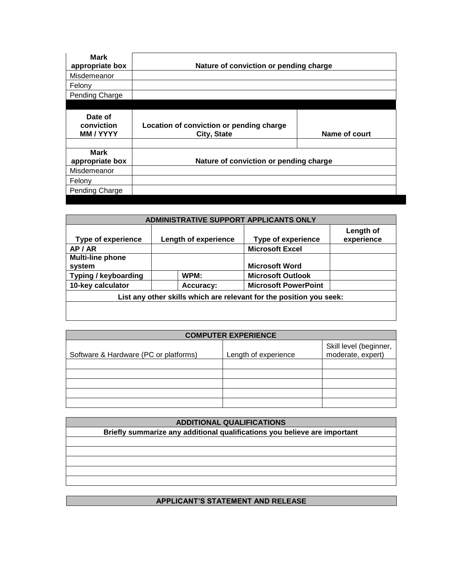| <b>Mark</b><br>appropriate box          | Nature of conviction or pending charge                  |               |  |  |  |
|-----------------------------------------|---------------------------------------------------------|---------------|--|--|--|
| Misdemeanor                             |                                                         |               |  |  |  |
| Felony                                  |                                                         |               |  |  |  |
| Pending Charge                          |                                                         |               |  |  |  |
|                                         |                                                         |               |  |  |  |
| Date of<br>conviction<br><b>MM/YYYY</b> | Location of conviction or pending charge<br>City, State | Name of court |  |  |  |
| <b>Mark</b><br>appropriate box          | Nature of conviction or pending charge                  |               |  |  |  |
| Misdemeanor                             |                                                         |               |  |  |  |
| Felony                                  |                                                         |               |  |  |  |
| Pending Charge                          |                                                         |               |  |  |  |

| ADMINISTRATIVE SUPPORT APPLICANTS ONLY                              |                      |                             |                         |  |  |  |
|---------------------------------------------------------------------|----------------------|-----------------------------|-------------------------|--|--|--|
| <b>Type of experience</b>                                           | Length of experience | <b>Type of experience</b>   | Length of<br>experience |  |  |  |
| AP/AR                                                               |                      | <b>Microsoft Excel</b>      |                         |  |  |  |
| <b>Multi-line phone</b><br>system                                   |                      | <b>Microsoft Word</b>       |                         |  |  |  |
| Typing / keyboarding                                                | WPM:                 | <b>Microsoft Outlook</b>    |                         |  |  |  |
| 10-key calculator                                                   | Accuracy:            | <b>Microsoft PowerPoint</b> |                         |  |  |  |
| List any other skills which are relevant for the position you seek: |                      |                             |                         |  |  |  |
|                                                                     |                      |                             |                         |  |  |  |

| <b>COMPUTER EXPERIENCE</b>            |                      |                                             |  |  |
|---------------------------------------|----------------------|---------------------------------------------|--|--|
| Software & Hardware (PC or platforms) | Length of experience | Skill level (beginner,<br>moderate, expert) |  |  |
|                                       |                      |                                             |  |  |
|                                       |                      |                                             |  |  |
|                                       |                      |                                             |  |  |
|                                       |                      |                                             |  |  |
|                                       |                      |                                             |  |  |

| <b>ADDITIONAL QUALIFICATIONS</b>                                          |  |  |  |
|---------------------------------------------------------------------------|--|--|--|
| Briefly summarize any additional qualifications you believe are important |  |  |  |
|                                                                           |  |  |  |
|                                                                           |  |  |  |
|                                                                           |  |  |  |
|                                                                           |  |  |  |
|                                                                           |  |  |  |
|                                                                           |  |  |  |

## **APPLICANT'S STATEMENT AND RELEASE**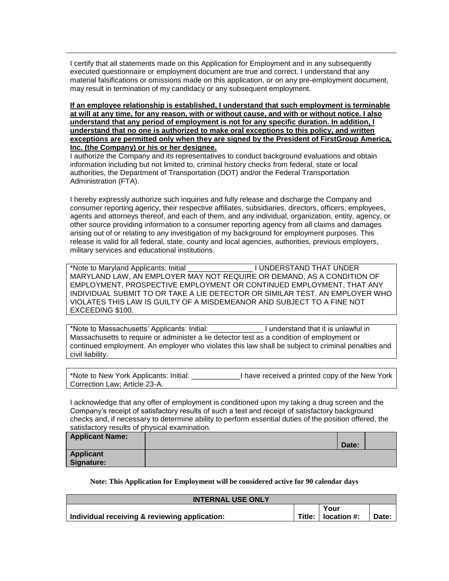I certify that all statements made on this Application for Employment and in any subsequently executed questionnaire or employment document are true and correct. I understand that any material falsifications or omissions made on this application, or on any pre-employment document, may result in termination of my candidacy or any subsequent employment.

**If an employee relationship is established, I understand that such employment is terminable at will at any time, for any reason, with or without cause, and with or without notice. I also understand that any period of employment is not for any specific duration. In addition, I understand that no one is authorized to make oral exceptions to this policy, and written exceptions are permitted only when they are signed by the President of FirstGroup America, Inc. (the Company) or his or her designee.**

I authorize the Company and its representatives to conduct background evaluations and obtain information including but not limited to, criminal history checks from federal, state or local authorities, the Department of Transportation (DOT) and/or the Federal Transportation Administration (FTA).

I hereby expressly authorize such inquiries and fully release and discharge the Company and consumer reporting agency, their respective affiliates, subsidiaries, directors, officers, employees, agents and attorneys thereof, and each of them, and any individual, organization, entity, agency, or other source providing information to a consumer reporting agency from all claims and damages arising out of or relating to any investigation of my background for employment purposes. This release is valid for all federal, state, county and local agencies, authorities, previous employers, military services and educational institutions.

\*Note to Maryland Applicants: Initial \_\_\_\_\_\_\_\_\_\_\_\_\_\_\_\_ I UNDERSTAND THAT UNDER MARYLAND LAW, AN EMPLOYER MAY NOT REQUIRE OR DEMAND, AS A CONDITION OF EMPLOYMENT, PROSPECTIVE EMPLOYMENT OR CONTINUED EMPLOYMENT, THAT ANY INDIVIDUAL SUBMIT TO OR TAKE A LIE DETECTOR OR SIMILAR TEST. AN EMPLOYER WHO VIOLATES THIS LAW IS GUILTY OF A MISDEMEANOR AND SUBJECT TO A FINE NOT EXCEEDING \$100.

\*Note to Massachusetts' Applicants: Initial: \_\_\_\_\_\_\_\_\_\_\_\_\_ I understand that it is unlawful in Massachusetts to require or administer a lie detector test as a condition of employment or continued employment. An employer who violates this law shall be subject to criminal penalties and civil liability.

| *Note to New York Applicants: Initial: | I have received a printed copy of the New York |
|----------------------------------------|------------------------------------------------|
| Correction Law; Article 23-A.          |                                                |

I acknowledge that any offer of employment is conditioned upon my taking a drug screen and the Company's receipt of satisfactory results of such a test and receipt of satisfactory background checks and, if necessary to determine ability to perform essential duties of the position offered, the satisfactory results of physical examination.

| <b>Applicant Name:</b> |       |  |
|------------------------|-------|--|
|                        | Date: |  |
| <b>Applicant</b>       |       |  |
| Signature:             |       |  |

## **Note: This Application for Employment will be considered active for 90 calendar days**

| <b>INTERNAL USE ONLY</b>                      |  |                      |       |
|-----------------------------------------------|--|----------------------|-------|
|                                               |  | Your                 |       |
| Individual receiving & reviewing application: |  | Title:   location #: | Date: |